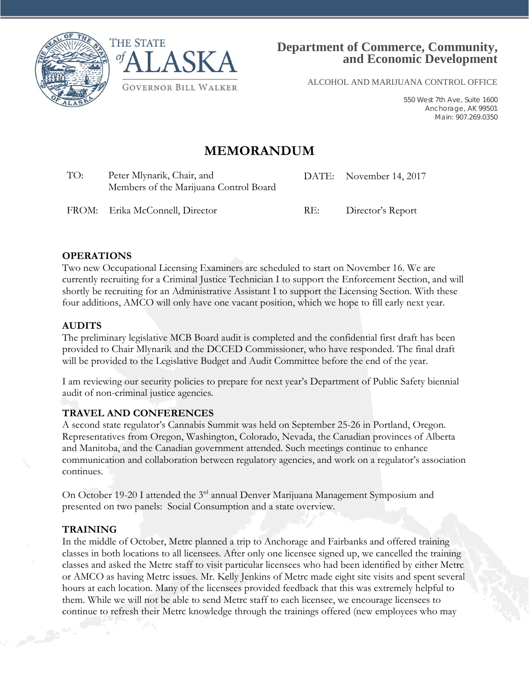



ALCOHOL AND MARIJUANA CONTROL OFFICE

550 West 7th Ave, Suite 1600 Anchorage, AK 99501 Main: 907.269.0350

# **MEMORANDUM**

TO: Peter Mlynarik, Chair, and Members of the Marijuana Control Board DATE: November 14, 2017

FROM: Erika McConnell, Director RE: Director's Report

#### **OPERATIONS**

Two new Occupational Licensing Examiners are scheduled to start on November 16. We are currently recruiting for a Criminal Justice Technician I to support the Enforcement Section, and will shortly be recruiting for an Administrative Assistant I to support the Licensing Section. With these four additions, AMCO will only have one vacant position, which we hope to fill early next year.

#### **AUDITS**

The preliminary legislative MCB Board audit is completed and the confidential first draft has been provided to Chair Mlynarik and the DCCED Commissioner, who have responded. The final draft will be provided to the Legislative Budget and Audit Committee before the end of the year.

I am reviewing our security policies to prepare for next year's Department of Public Safety biennial audit of non-criminal justice agencies.

# **TRAVEL AND CONFERENCES**

A second state regulator's Cannabis Summit was held on September 25-26 in Portland, Oregon. Representatives from Oregon, Washington, Colorado, Nevada, the Canadian provinces of Alberta and Manitoba, and the Canadian government attended. Such meetings continue to enhance communication and collaboration between regulatory agencies, and work on a regulator's association continues.

On October 19-20 I attended the 3<sup>rd</sup> annual Denver Marijuana Management Symposium and presented on two panels: Social Consumption and a state overview.

# **TRAINING**

In the middle of October, Metrc planned a trip to Anchorage and Fairbanks and offered training classes in both locations to all licensees. After only one licensee signed up, we cancelled the training classes and asked the Metrc staff to visit particular licensees who had been identified by either Metrc or AMCO as having Metrc issues. Mr. Kelly Jenkins of Metrc made eight site visits and spent several hours at each location. Many of the licensees provided feedback that this was extremely helpful to them. While we will not be able to send Metrc staff to each licensee, we encourage licensees to continue to refresh their Metrc knowledge through the trainings offered (new employees who may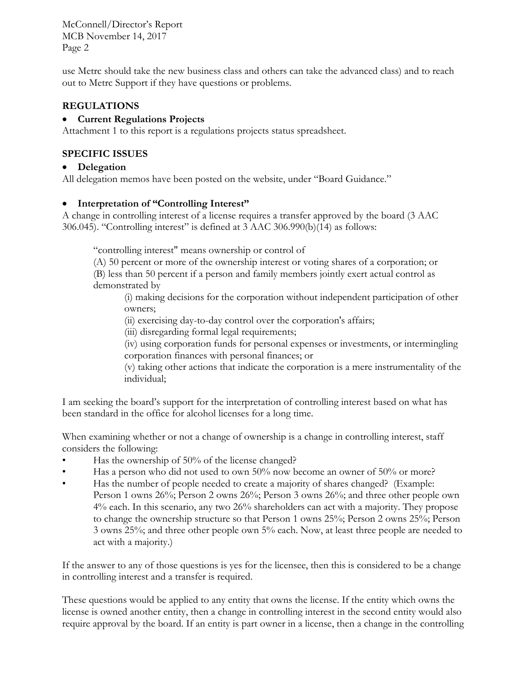use Metrc should take the new business class and others can take the advanced class) and to reach out to Metrc Support if they have questions or problems.

#### **REGULATIONS**

#### • **Current Regulations Projects**

Attachment 1 to this report is a regulations projects status spreadsheet.

#### **SPECIFIC ISSUES**

#### • **Delegation**

All delegation memos have been posted on the website, under "Board Guidance."

#### • **Interpretation of "Controlling Interest"**

A change in controlling interest of a license requires a transfer approved by the board (3 AAC 306.045). "Controlling interest" is defined at 3 AAC 306.990(b)(14) as follows:

"controlling interest" means ownership or control of

(A) 50 percent or more of the ownership interest or voting shares of a corporation; or (B) less than 50 percent if a person and family members jointly exert actual control as demonstrated by

(i) making decisions for the corporation without independent participation of other owners;

(ii) exercising day-to-day control over the corporation's affairs;

(iii) disregarding formal legal requirements;

(iv) using corporation funds for personal expenses or investments, or intermingling corporation finances with personal finances; or

(v) taking other actions that indicate the corporation is a mere instrumentality of the individual;

I am seeking the board's support for the interpretation of controlling interest based on what has been standard in the office for alcohol licenses for a long time.

When examining whether or not a change of ownership is a change in controlling interest, staff considers the following:

- Has the ownership of 50% of the license changed?
- Has a person who did not used to own 50% now become an owner of 50% or more?
- Has the number of people needed to create a majority of shares changed? (Example: Person 1 owns 26%; Person 2 owns 26%; Person 3 owns 26%; and three other people own 4% each. In this scenario, any two 26% shareholders can act with a majority. They propose to change the ownership structure so that Person 1 owns 25%; Person 2 owns 25%; Person 3 owns 25%; and three other people own 5% each. Now, at least three people are needed to act with a majority.)

If the answer to any of those questions is yes for the licensee, then this is considered to be a change in controlling interest and a transfer is required.

These questions would be applied to any entity that owns the license. If the entity which owns the license is owned another entity, then a change in controlling interest in the second entity would also require approval by the board. If an entity is part owner in a license, then a change in the controlling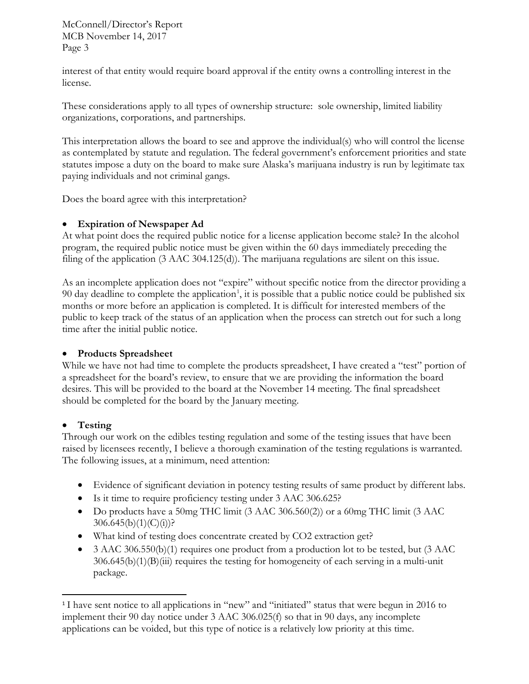interest of that entity would require board approval if the entity owns a controlling interest in the license.

These considerations apply to all types of ownership structure: sole ownership, limited liability organizations, corporations, and partnerships.

This interpretation allows the board to see and approve the individual(s) who will control the license as contemplated by statute and regulation. The federal government's enforcement priorities and state statutes impose a duty on the board to make sure Alaska's marijuana industry is run by legitimate tax paying individuals and not criminal gangs.

Does the board agree with this interpretation?

### • **Expiration of Newspaper Ad**

At what point does the required public notice for a license application become stale? In the alcohol program, the required public notice must be given within the 60 days immediately preceding the filing of the application (3 AAC 304.125(d)). The marijuana regulations are silent on this issue.

As an incomplete application does not "expire" without specific notice from the director providing a 90 day deadline to complete the application<sup>[1](#page-2-0)</sup>, it is possible that a public notice could be published six months or more before an application is completed. It is difficult for interested members of the public to keep track of the status of an application when the process can stretch out for such a long time after the initial public notice.

#### • **Products Spreadsheet**

While we have not had time to complete the products spreadsheet, I have created a "test" portion of a spreadsheet for the board's review, to ensure that we are providing the information the board desires. This will be provided to the board at the November 14 meeting. The final spreadsheet should be completed for the board by the January meeting.

#### • **Testing**

Through our work on the edibles testing regulation and some of the testing issues that have been raised by licensees recently, I believe a thorough examination of the testing regulations is warranted. The following issues, at a minimum, need attention:

- Evidence of significant deviation in potency testing results of same product by different labs.
- Is it time to require proficiency testing under 3 AAC 306.625?
- Do products have a 50mg THC limit (3 AAC 306.560(2)) or a 60mg THC limit (3 AAC  $306.645(b)(1)(C)(i))$ ?
- What kind of testing does concentrate created by CO2 extraction get?
- 3 AAC 306.550(b)(1) requires one product from a production lot to be tested, but (3 AAC 306.645(b)(1)(B)(iii) requires the testing for homogeneity of each serving in a multi-unit package.

<span id="page-2-0"></span><sup>&</sup>lt;sup>1</sup> I have sent notice to all applications in "new" and "initiated" status that were begun in 2016 to implement their 90 day notice under 3 AAC 306.025(f) so that in 90 days, any incomplete applications can be voided, but this type of notice is a relatively low priority at this time.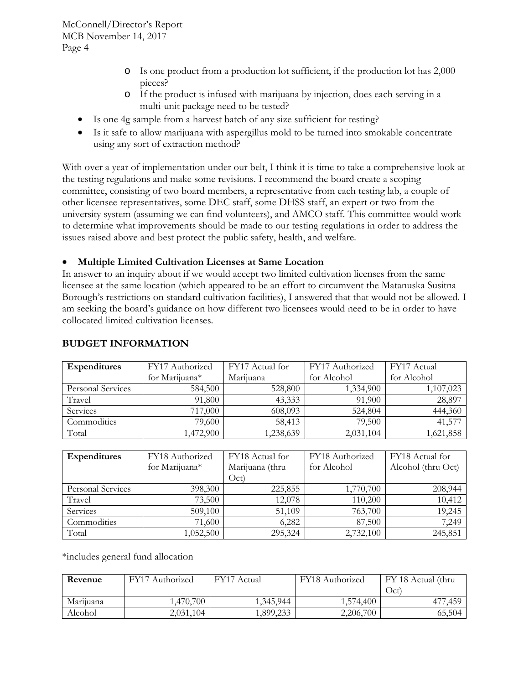- o Is one product from a production lot sufficient, if the production lot has 2,000 pieces?
- o If the product is infused with marijuana by injection, does each serving in a multi-unit package need to be tested?
- Is one 4g sample from a harvest batch of any size sufficient for testing?
- Is it safe to allow marijuana with aspergillus mold to be turned into smokable concentrate using any sort of extraction method?

With over a year of implementation under our belt, I think it is time to take a comprehensive look at the testing regulations and make some revisions. I recommend the board create a scoping committee, consisting of two board members, a representative from each testing lab, a couple of other licensee representatives, some DEC staff, some DHSS staff, an expert or two from the university system (assuming we can find volunteers), and AMCO staff. This committee would work to determine what improvements should be made to our testing regulations in order to address the issues raised above and best protect the public safety, health, and welfare.

### • **Multiple Limited Cultivation Licenses at Same Location**

In answer to an inquiry about if we would accept two limited cultivation licenses from the same licensee at the same location (which appeared to be an effort to circumvent the Matanuska Susitna Borough's restrictions on standard cultivation facilities), I answered that that would not be allowed. I am seeking the board's guidance on how different two licensees would need to be in order to have collocated limited cultivation licenses.

| <b>Expenditures</b> | FY17 Authorized | FY17 Actual for | FY17 Authorized | FY17 Actual |  |
|---------------------|-----------------|-----------------|-----------------|-------------|--|
|                     | for Marijuana*  | Marijuana       | for Alcohol     | for Alcohol |  |
| Personal Services   | 584,500         | 528,800         | 1,334,900       | 1,107,023   |  |
| Travel              | 91,800          | 43,333          | 91,900          | 28,897      |  |
| Services            | 717,000         | 608,093         | 524,804         | 444,360     |  |
| Commodities         | 79,600          | 58,413          | 79,500          | 41,577      |  |
| Total               | 1,472,900       | ,238,639        | 2,031,104       | 1,621,858   |  |

#### **BUDGET INFORMATION**

| <b>Expenditures</b> | FY18 Authorized<br>for Marijuana* | FY18 Actual for<br>Marijuana (thru<br>Oct) | FY18 Authorized<br>for Alcohol | FY18 Actual for<br>Alcohol (thru Oct) |  |
|---------------------|-----------------------------------|--------------------------------------------|--------------------------------|---------------------------------------|--|
| Personal Services   | 398,300                           | 225,855                                    | 1,770,700                      | 208,944                               |  |
| Travel              | 73,500                            | 12,078                                     | 110,200                        | 10,412                                |  |
| Services            | 509,100                           | 51,109                                     | 763,700                        | 19,245                                |  |
| Commodities         | 71,600                            | 6,282                                      | 87,500                         | 7,249                                 |  |
| Total               | 1,052,500                         | 295,324                                    | 2,732,100                      | 245,851                               |  |

\*includes general fund allocation

| Revenue   | FY17 Authorized | <b>FY17</b><br>Actual | FY18 Authorized | FY 18 Actual (thru<br>$\rm Oct.$ |
|-----------|-----------------|-----------------------|-----------------|----------------------------------|
| Marijuana | ,470,700        | 1,345,944             | 1,574,400       | .459                             |
| Alcohol   | 2,031,104       | ,899,233              | 2,206,700       | 65,504                           |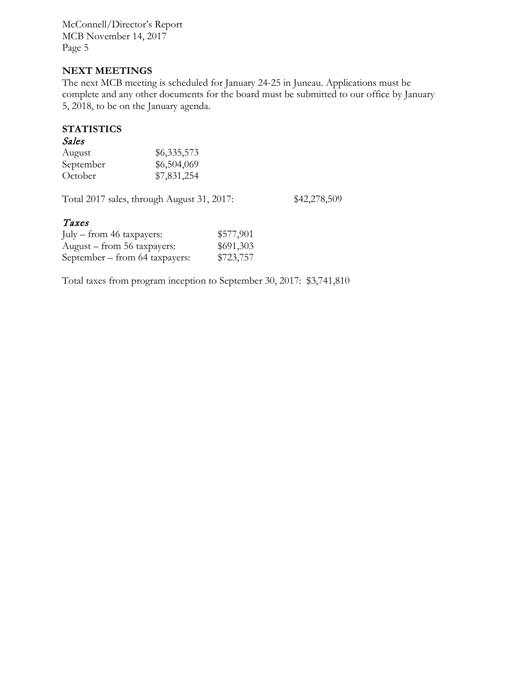#### **NEXT MEETINGS**

The next MCB meeting is scheduled for January 24-25 in Juneau. Applications must be complete and any other documents for the board must be submitted to our office by January 5, 2018, to be on the January agenda.

## **STATISTICS**

#### Sales

| August    | \$6,335,573 |
|-----------|-------------|
| September | \$6,504,069 |
| October   | \$7,831,254 |

Total 2017 sales, through August 31, 2017: \$42,278,509

#### Taxes

| July – from 46 taxpayers:      | \$577,901 |
|--------------------------------|-----------|
| August – from 56 taxpayers:    | \$691,303 |
| September - from 64 taxpayers: | \$723,757 |

Total taxes from program inception to September 30, 2017: \$3,741,810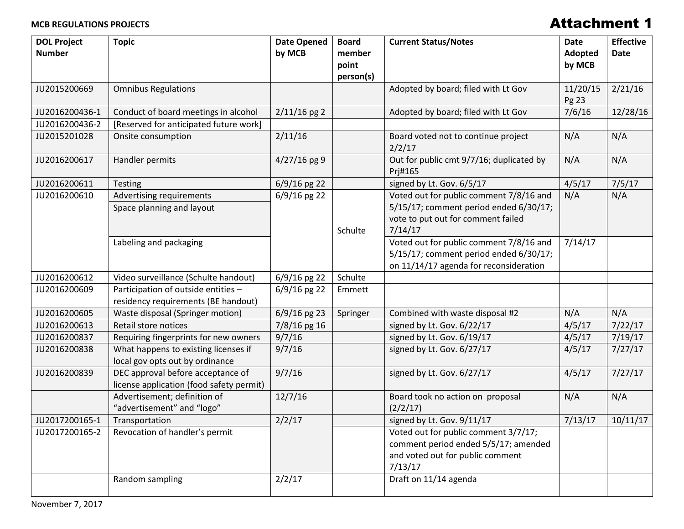#### **MCB REGULATIONS PROJECTS**

# Attachment 1

| <b>DOL Project</b><br><b>Number</b> | <b>Topic</b>                                                                  | <b>Date Opened</b><br>by MCB | <b>Board</b><br>member<br>point<br>person(s) | <b>Current Status/Notes</b>                                                                                                        | <b>Date</b><br>Adopted<br>by MCB | <b>Effective</b><br><b>Date</b> |
|-------------------------------------|-------------------------------------------------------------------------------|------------------------------|----------------------------------------------|------------------------------------------------------------------------------------------------------------------------------------|----------------------------------|---------------------------------|
| JU2015200669                        | <b>Omnibus Regulations</b>                                                    |                              |                                              | Adopted by board; filed with Lt Gov                                                                                                | 11/20/15<br>Pg 23                | 2/21/16                         |
| JU2016200436-1                      | Conduct of board meetings in alcohol                                          | $2/11/16$ pg 2               |                                              | Adopted by board; filed with Lt Gov                                                                                                | 7/6/16                           | 12/28/16                        |
| JU2016200436-2                      | [Reserved for anticipated future work]                                        |                              |                                              |                                                                                                                                    |                                  |                                 |
| JU2015201028                        | Onsite consumption                                                            | 2/11/16                      |                                              | Board voted not to continue project<br>2/2/17                                                                                      | N/A                              | N/A                             |
| JU2016200617                        | Handler permits                                                               | $4/27/16$ pg 9               |                                              | Out for public cmt 9/7/16; duplicated by<br>Prj#165                                                                                | N/A                              | N/A                             |
| JU2016200611                        | <b>Testing</b>                                                                | 6/9/16 pg 22                 |                                              | signed by Lt. Gov. 6/5/17                                                                                                          | 4/5/17                           | 7/5/17                          |
| JU2016200610                        | Advertising requirements<br>Space planning and layout                         | 6/9/16 pg 22                 | Schulte                                      | Voted out for public comment 7/8/16 and<br>5/15/17; comment period ended 6/30/17;<br>vote to put out for comment failed<br>7/14/17 | N/A                              | N/A                             |
|                                     | Labeling and packaging                                                        |                              |                                              | Voted out for public comment 7/8/16 and<br>5/15/17; comment period ended 6/30/17;<br>on 11/14/17 agenda for reconsideration        | 7/14/17                          |                                 |
| JU2016200612                        | Video surveillance (Schulte handout)                                          | 6/9/16 pg 22                 | Schulte                                      |                                                                                                                                    |                                  |                                 |
| JU2016200609                        | Participation of outside entities -<br>residency requirements (BE handout)    | $6/9/16$ pg 22               | Emmett                                       |                                                                                                                                    |                                  |                                 |
| JU2016200605                        | Waste disposal (Springer motion)                                              | $6/9/16$ pg 23               | Springer                                     | Combined with waste disposal #2                                                                                                    | N/A                              | N/A                             |
| JU2016200613                        | Retail store notices                                                          | 7/8/16 pg 16                 |                                              | signed by Lt. Gov. 6/22/17                                                                                                         | 4/5/17                           | 7/22/17                         |
| JU2016200837                        | Requiring fingerprints for new owners                                         | 9/7/16                       |                                              | signed by Lt. Gov. 6/19/17                                                                                                         | 4/5/17                           | 7/19/17                         |
| JU2016200838                        | What happens to existing licenses if<br>local gov opts out by ordinance       | 9/7/16                       |                                              | signed by Lt. Gov. 6/27/17                                                                                                         | 4/5/17                           | 7/27/17                         |
| JU2016200839                        | DEC approval before acceptance of<br>license application (food safety permit) | 9/7/16                       |                                              | signed by Lt. Gov. 6/27/17                                                                                                         | 4/5/17                           | 7/27/17                         |
|                                     | Advertisement; definition of<br>"advertisement" and "logo"                    | 12/7/16                      |                                              | Board took no action on proposal<br>(2/2/17)                                                                                       | N/A                              | N/A                             |
| JU2017200165-1                      | Transportation                                                                | 2/2/17                       |                                              | signed by Lt. Gov. 9/11/17                                                                                                         | 7/13/17                          | 10/11/17                        |
| JU2017200165-2                      | Revocation of handler's permit                                                |                              |                                              | Voted out for public comment 3/7/17;<br>comment period ended 5/5/17; amended<br>and voted out for public comment<br>7/13/17        |                                  |                                 |
|                                     | Random sampling                                                               | 2/2/17                       |                                              | Draft on 11/14 agenda                                                                                                              |                                  |                                 |